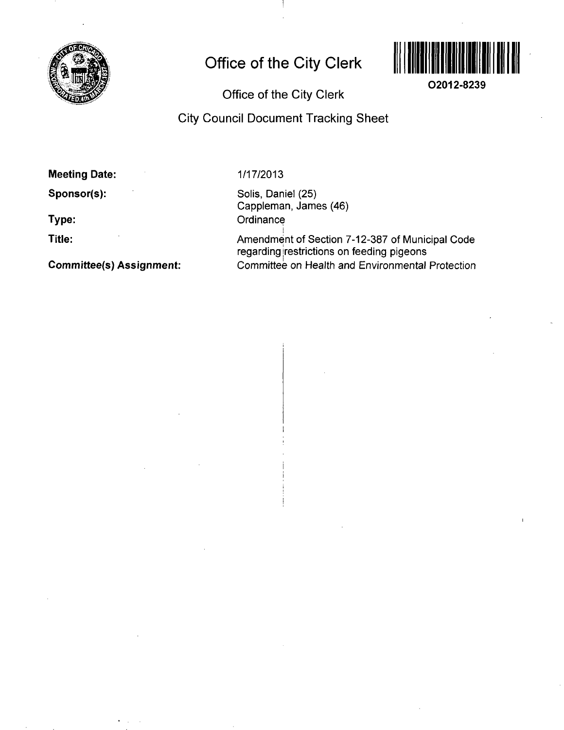

# **Office of the City Clerk**



**O2012-8239** 

**Office of the City Clerk** 

### **City Council Document Tracking Sheet**

**Meeting Date:** 

**Sponsor(s):** 

**Type:** 

**Title:** 

**Committee(s) Assignment:** 

1/17/2013

Solis, Daniel (25) Cappleman, James (46) **Ordinance** Amendment of Section 7-12-387 of Municipal Code regarding restrictions on feeding pigeons regarding jrestrictions on feeding pigeons Committee on Health and Environmental Protection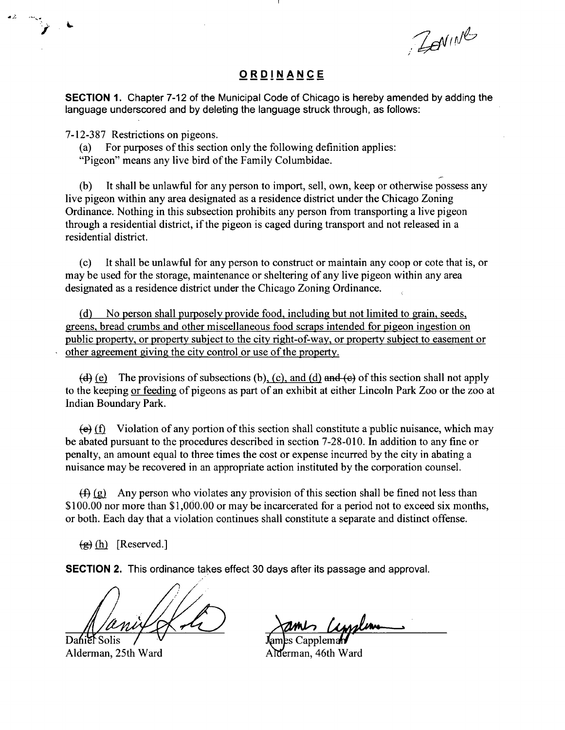ZONING

#### ORDINANC E

SECTION 1. Chapter 7-12 of the Municipal Code of Chicago is hereby amended by adding the language underscored and by deleting the language struck through, as follows:

7-12-387 Restrictions on pigeons.

(a) For purposes of this section only the following definition applies: "Pigeon" means any live bird of the Family Columbidae.

(b) It shall be unlawful for any person to import, sell, own, keep or otherwise possess any live pigeon within any area designated as a residence district under the Chicago Zoning Ordinance. Nothing in this subsection prohibits any person from transporting a live pigeon through a residential district, if the pigeon is caged during transport and not released in a residential district.

(c) It shall be unlawful for any person to construct or maintain any coop or cote that is, or may be used for the storage, maintenance or sheltering of any live pigeon within any area designated as a residence district under the Chicago Zoning Ordinance.

(d) No person shall purposely provide food, including but not limited to grain, seeds, greens, bread crumbs and other miscellaneous food scraps intended for pigeon ingestion on public propertv, or propertv subject to the city right-of-way, or propertv subject to easement or other agreement giving the city control or use of the property.

(d) (e) The provisions of subsections (b), (c), and (d) and (e) of this section shall not apply to the keeping or feeding of pigeons as part of an exhibit at either Lincoln Park Zoo or the zoo at Indian Boundary Park.

 $\left(\frac{e}{f}\right)$  Violation of any portion of this section shall constitute a public nuisance, which may be abated pursuant to the procedures described in section 7-28-010. In addition to any fine or penalty, an amount equal to three times the cost or expense incurred by the city in abating a nuisance may be recovered in an appropriate action instituted by the corporation counsel.

 $(f)$  (g) Any person who violates any provision of this section shall be fined not less than \$100.00 nor more than \$1,000.00 or may be incarcerated for a period not to exceed six months, or both. Each day that a violation continues shall constitute a separate and distinct offense.

 $(g)$  (h) [Reserved.]

SECTION 2. This ordinance takes effect 30 days after its passage and approval.

Alderman, 25th Ward Alderman, 46th Ward